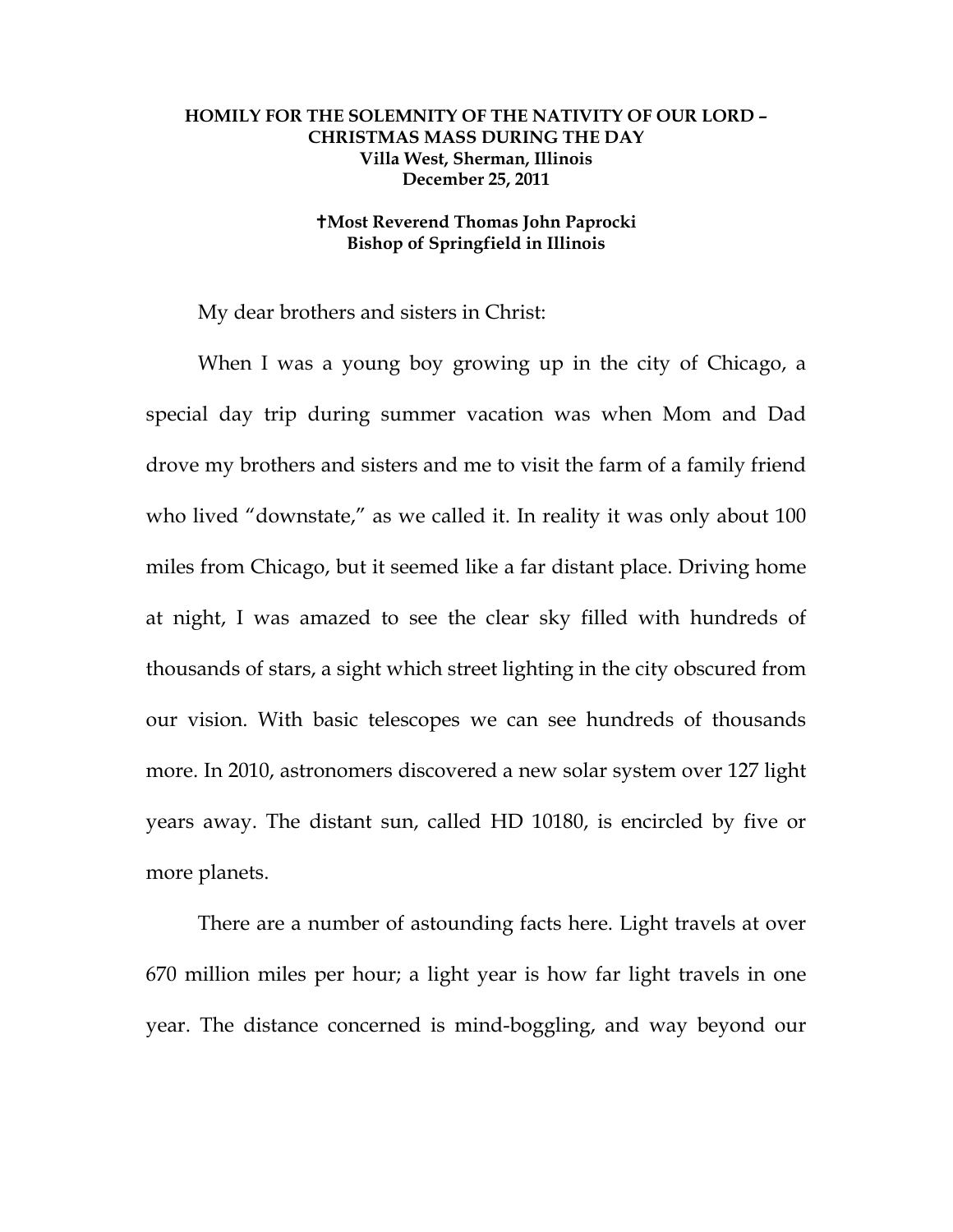## **HOMILY FOR THE SOLEMNITY OF THE NATIVITY OF OUR LORD – CHRISTMAS MASS DURING THE DAY Villa West, Sherman, Illinois December 25, 2011**

## **Most Reverend Thomas John Paprocki Bishop of Springfield in Illinois**

My dear brothers and sisters in Christ:

 When I was a young boy growing up in the city of Chicago, a special day trip during summer vacation was when Mom and Dad drove my brothers and sisters and me to visit the farm of a family friend who lived "downstate," as we called it. In reality it was only about 100 miles from Chicago, but it seemed like a far distant place. Driving home at night, I was amazed to see the clear sky filled with hundreds of thousands of stars, a sight which street lighting in the city obscured from our vision. With basic telescopes we can see hundreds of thousands more. In 2010, astronomers discovered a new solar system over 127 light years away. The distant sun, called HD 10180, is encircled by five or more planets.

 There are a number of astounding facts here. Light travels at over 670 million miles per hour; a light year is how far light travels in one year. The distance concerned is mind-boggling, and way beyond our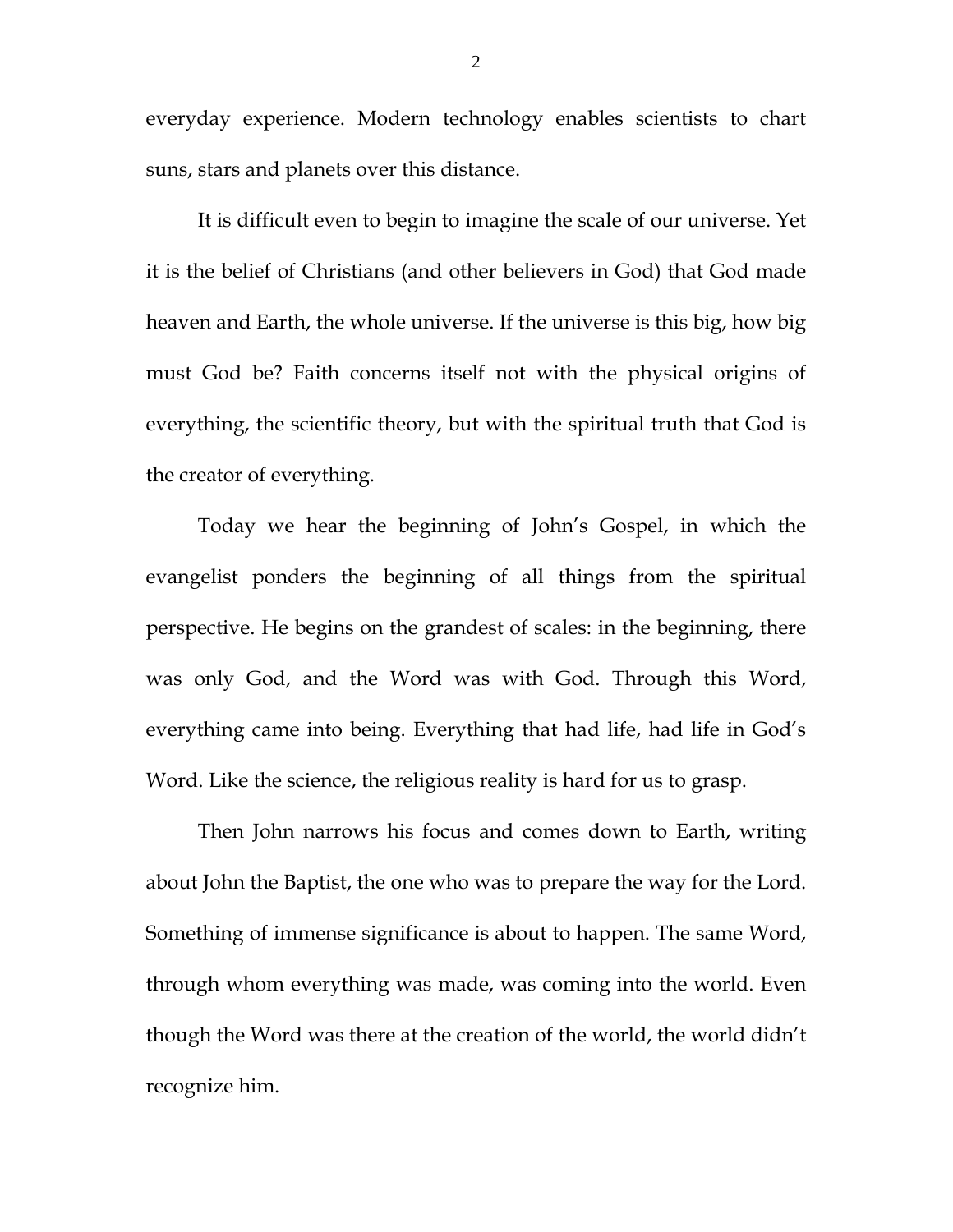everyday experience. Modern technology enables scientists to chart suns, stars and planets over this distance.

 It is difficult even to begin to imagine the scale of our universe. Yet it is the belief of Christians (and other believers in God) that God made heaven and Earth, the whole universe. If the universe is this big, how big must God be? Faith concerns itself not with the physical origins of everything, the scientific theory, but with the spiritual truth that God is the creator of everything.

 Today we hear the beginning of John's Gospel, in which the evangelist ponders the beginning of all things from the spiritual perspective. He begins on the grandest of scales: in the beginning, there was only God, and the Word was with God. Through this Word, everything came into being. Everything that had life, had life in God's Word. Like the science, the religious reality is hard for us to grasp.

 Then John narrows his focus and comes down to Earth, writing about John the Baptist, the one who was to prepare the way for the Lord. Something of immense significance is about to happen. The same Word, through whom everything was made, was coming into the world. Even though the Word was there at the creation of the world, the world didn't recognize him.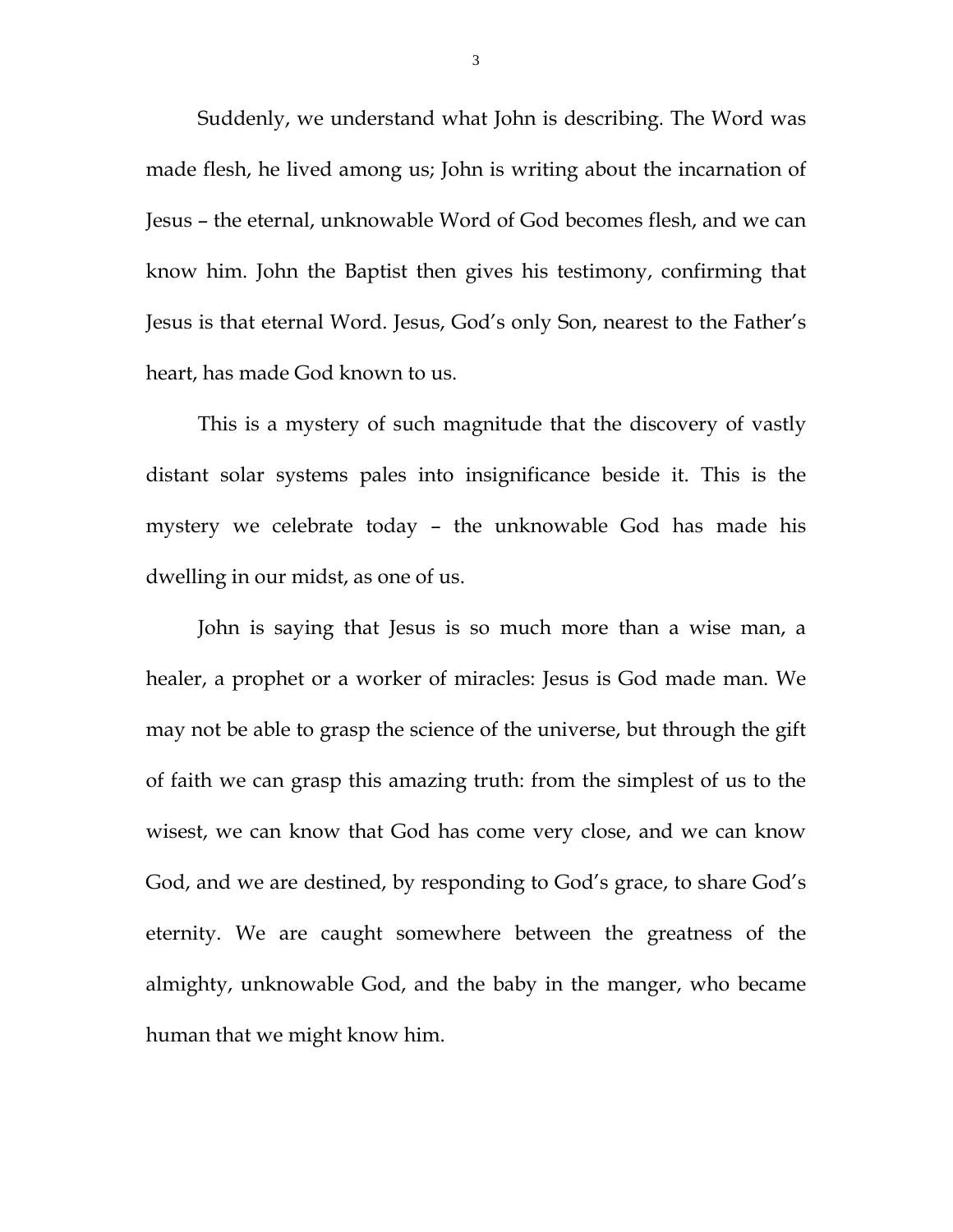Suddenly, we understand what John is describing. The Word was made flesh, he lived among us; John is writing about the incarnation of Jesus – the eternal, unknowable Word of God becomes flesh, and we can know him. John the Baptist then gives his testimony, confirming that Jesus is that eternal Word. Jesus, God's only Son, nearest to the Father's heart, has made God known to us.

 This is a mystery of such magnitude that the discovery of vastly distant solar systems pales into insignificance beside it. This is the mystery we celebrate today – the unknowable God has made his dwelling in our midst, as one of us.

 John is saying that Jesus is so much more than a wise man, a healer, a prophet or a worker of miracles: Jesus is God made man. We may not be able to grasp the science of the universe, but through the gift of faith we can grasp this amazing truth: from the simplest of us to the wisest, we can know that God has come very close, and we can know God, and we are destined, by responding to God's grace, to share God's eternity. We are caught somewhere between the greatness of the almighty, unknowable God, and the baby in the manger, who became human that we might know him.

3